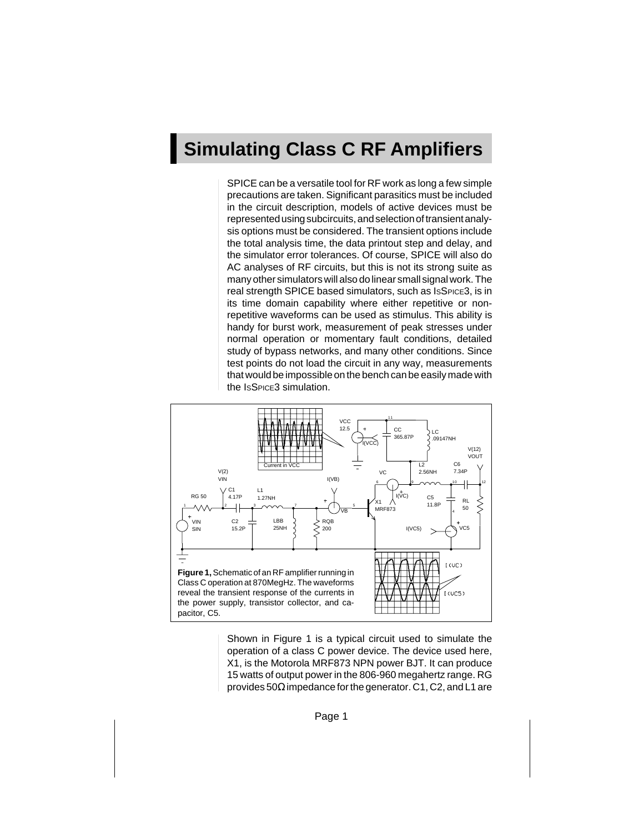## **Simulating Class C RF Amplifiers**

SPICE can be a versatile tool for RF work as long a few simple precautions are taken. Significant parasitics must be included in the circuit description, models of active devices must be represented using subcircuits, and selection of transient analysis options must be considered. The transient options include the total analysis time, the data printout step and delay, and the simulator error tolerances. Of course, SPICE will also do AC analyses of RF circuits, but this is not its strong suite as many other simulators will also do linear small signal work. The real strength SPICE based simulators, such as ISSPICE3, is in its time domain capability where either repetitive or nonrepetitive waveforms can be used as stimulus. This ability is handy for burst work, measurement of peak stresses under normal operation or momentary fault conditions, detailed study of bypass networks, and many other conditions. Since test points do not load the circuit in any way, measurements that would be impossible on the bench can be easily made with the ISSPICE3 simulation.



Shown in Figure 1 is a typical circuit used to simulate the operation of a class C power device. The device used here, X1, is the Motorola MRF873 NPN power BJT. It can produce 15 watts of output power in the 806-960 megahertz range. RG provides 50 $\Omega$  impedance for the generator. C1, C2, and L1 are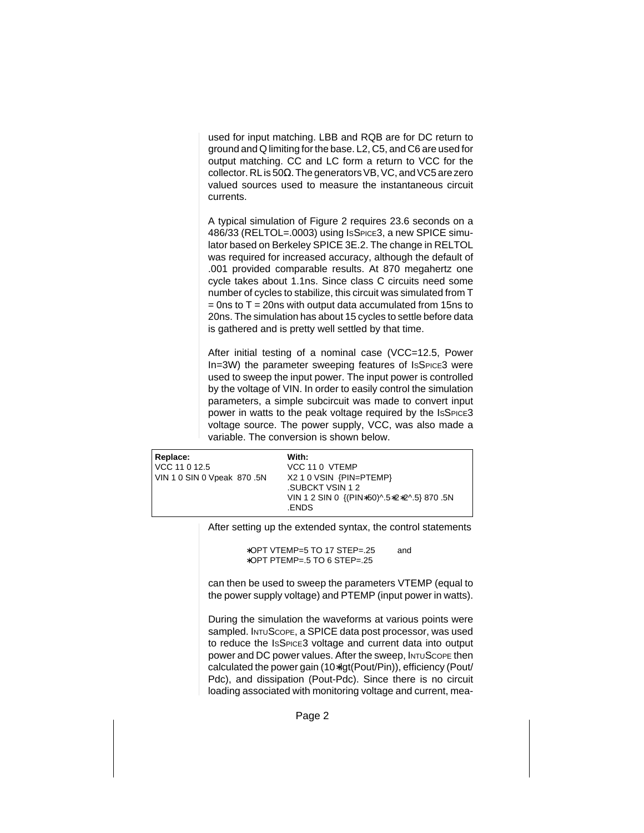used for input matching. LBB and RQB are for DC return to ground and Q limiting for the base. L2, C5, and C6 are used for output matching. CC and LC form a return to VCC for the collector. RL is 50Ω. The generators VB, VC, and VC5 are zero valued sources used to measure the instantaneous circuit currents.

A typical simulation of Figure 2 requires 23.6 seconds on a 486/33 (RELTOL=.0003) using ISSPICE3, a new SPICE simulator based on Berkeley SPICE 3E.2. The change in RELTOL was required for increased accuracy, although the default of .001 provided comparable results. At 870 megahertz one cycle takes about 1.1ns. Since class C circuits need some number of cycles to stabilize, this circuit was simulated from T  $=$  0ns to T = 20ns with output data accumulated from 15ns to 20ns. The simulation has about 15 cycles to settle before data is gathered and is pretty well settled by that time.

After initial testing of a nominal case (VCC=12.5, Power In=3W) the parameter sweeping features of IsSPICE3 were used to sweep the input power. The input power is controlled by the voltage of VIN. In order to easily control the simulation parameters, a simple subcircuit was made to convert input power in watts to the peak voltage required by the ISSPICE3 voltage source. The power supply, VCC, was also made a variable. The conversion is shown below.

| Replace:                   | With:                                      |
|----------------------------|--------------------------------------------|
| VCC 11 0 12.5              | VCC 11 0 VTEMP                             |
| VIN 1 0 SIN 0 Vpeak 870.5N | X2 1 0 VSIN {PIN=PTEMP}                    |
|                            | .SUBCKT VSIN 1 2                           |
|                            | VIN 1 2 SIN 0 {(PIN*50)^.5*2*2^.5} 870 .5N |
|                            | .ENDS                                      |

After setting up the extended syntax, the control statements

∗OPT VTEMP=5 TO 17 STEP=.25 and ∗OPT PTEMP=.5 TO 6 STEP=.25

can then be used to sweep the parameters VTEMP (equal to the power supply voltage) and PTEMP (input power in watts).

During the simulation the waveforms at various points were sampled. INTUSCOPE, a SPICE data post processor, was used to reduce the ISSPICE3 voltage and current data into output power and DC power values. After the sweep, INTUSCOPE then calculated the power gain (10∗lgt(Pout/Pin)), efficiency (Pout/ Pdc), and dissipation (Pout-Pdc). Since there is no circuit loading associated with monitoring voltage and current, mea-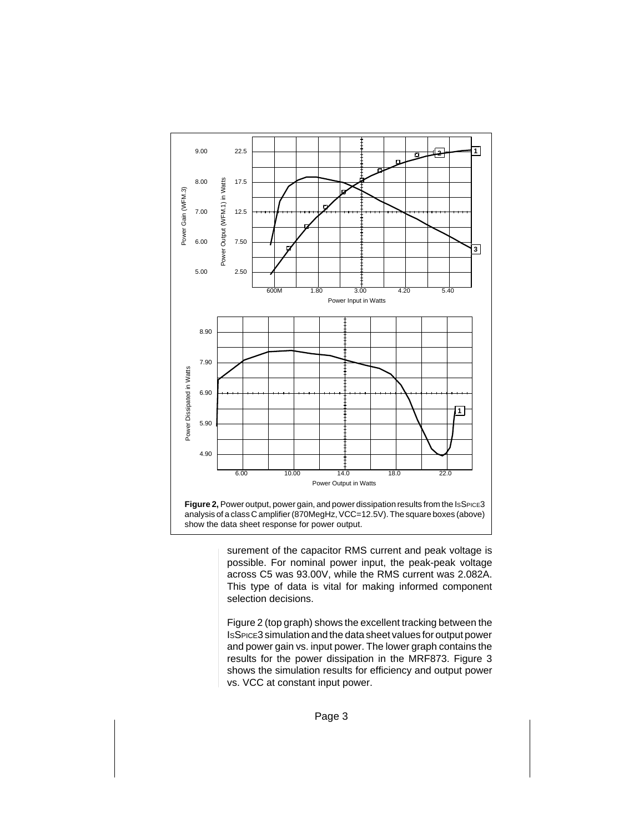

surement of the capacitor RMS current and peak voltage is possible. For nominal power input, the peak-peak voltage across C5 was 93.00V, while the RMS current was 2.082A. This type of data is vital for making informed component selection decisions.

Figure 2 (top graph) shows the excellent tracking between the ISSPICE3 simulation and the data sheet values for output power and power gain vs. input power. The lower graph contains the results for the power dissipation in the MRF873. Figure 3 shows the simulation results for efficiency and output power vs. VCC at constant input power.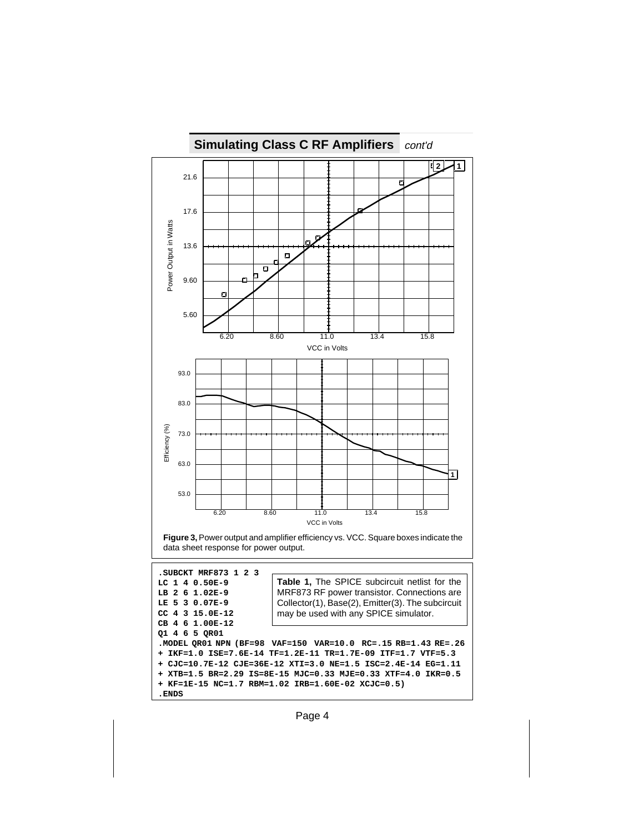

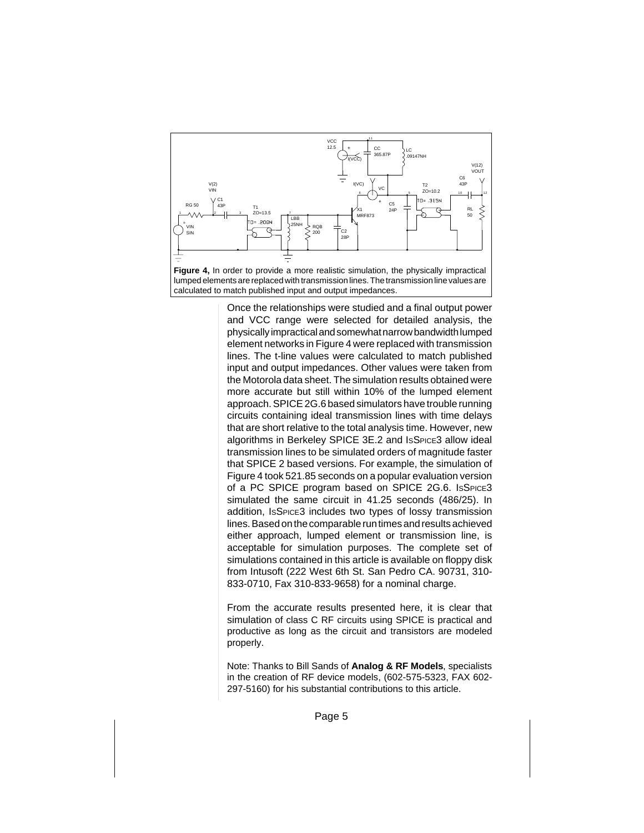

Once the relationships were studied and a final output power and VCC range were selected for detailed analysis, the physically impractical and somewhat narrow bandwidth lumped element networks in Figure 4 were replaced with transmission lines. The t-line values were calculated to match published input and output impedances. Other values were taken from the Motorola data sheet. The simulation results obtained were more accurate but still within 10% of the lumped element approach. SPICE 2G.6 based simulators have trouble running circuits containing ideal transmission lines with time delays that are short relative to the total analysis time. However, new algorithms in Berkeley SPICE 3E.2 and ISSPICE3 allow ideal transmission lines to be simulated orders of magnitude faster that SPICE 2 based versions. For example, the simulation of Figure 4 took 521.85 seconds on a popular evaluation version of a PC SPICE program based on SPICE 2G.6. ISSPICE3 simulated the same circuit in 41.25 seconds (486/25). In addition, ISSPICE3 includes two types of lossy transmission lines. Based on the comparable run times and results achieved either approach, lumped element or transmission line, is acceptable for simulation purposes. The complete set of simulations contained in this article is available on floppy disk from Intusoft (222 West 6th St. San Pedro CA. 90731, 310- 833-0710, Fax 310-833-9658) for a nominal charge.

From the accurate results presented here, it is clear that simulation of class C RF circuits using SPICE is practical and productive as long as the circuit and transistors are modeled properly.

Note: Thanks to Bill Sands of **Analog & RF Models**, specialists in the creation of RF device models, (602-575-5323, FAX 602- 297-5160) for his substantial contributions to this article.